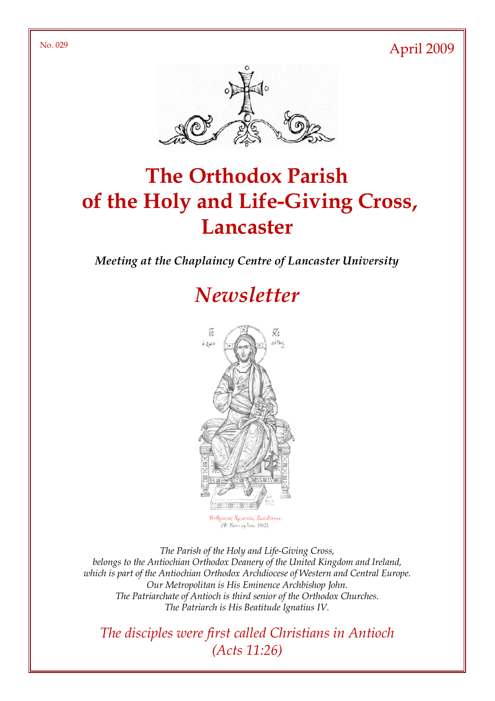No. 029 April 2009



# The Orthodox Parish of the Holy and Life-Giving Cross, **Lancaster**

Meeting at the Chaplaincy Centre of Lancaster University

## **Newsletter**



ος Χριστός, Ζω (Φ. Κόντογλου, 1962).

The Parish of the Holy and Life-Giving Cross, belongs to the Antiochian Orthodox Deanery of the United Kingdom and Ireland, which is part of the Antiochian Orthodox Archdiocese of Western and Central Europe. Our Metropolitan is His Eminence Archbishop John. The Patriarchate of Antioch is third senior of the Orthodox Churches. The Patriarch is His Beatitude Ignatius IV.

The disciples were first called Christians in Antioch (Acts 11:26)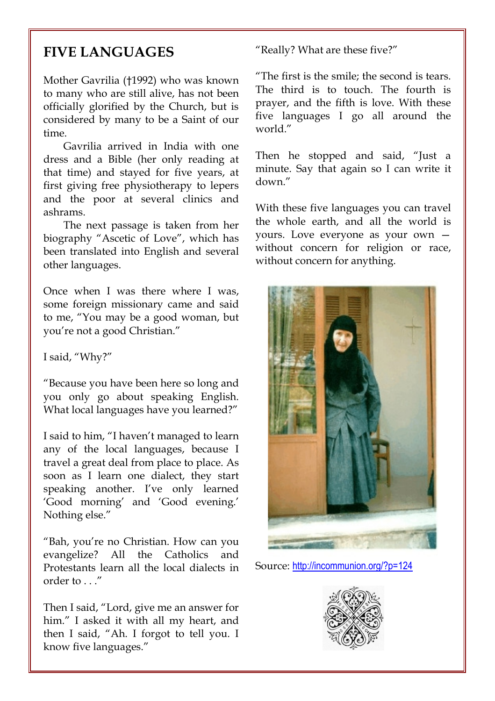#### FIVE LANGUAGES

Mother Gavrilia (†1992) who was known to many who are still alive, has not been officially glorified by the Church, but is considered by many to be a Saint of our time.

Gavrilia arrived in India with one dress and a Bible (her only reading at that time) and stayed for five years, at first giving free physiotherapy to lepers and the poor at several clinics and ashrams.

The next passage is taken from her biography "Ascetic of Love", which has been translated into English and several other languages.

Once when I was there where I was, some foreign missionary came and said to me, "You may be a good woman, but you're not a good Christian."

I said, "Why?"

"Because you have been here so long and you only go about speaking English. What local languages have you learned?"

I said to him, "I haven't managed to learn any of the local languages, because I travel a great deal from place to place. As soon as I learn one dialect, they start speaking another. I've only learned 'Good morning' and 'Good evening.' Nothing else."

"Bah, you're no Christian. How can you evangelize? All the Catholics and Protestants learn all the local dialects in order to . . ."

Then I said, "Lord, give me an answer for him." I asked it with all my heart, and then I said, "Ah. I forgot to tell you. I know five languages."

"Really? What are these five?"

"The first is the smile; the second is tears. The third is to touch. The fourth is prayer, and the fifth is love. With these five languages I go all around the world."

Then he stopped and said, "Just a minute. Say that again so I can write it down."

With these five languages you can travel the whole earth, and all the world is yours. Love everyone as your own without concern for religion or race, without concern for anything.



Source: http://incommunion.org/?p=124

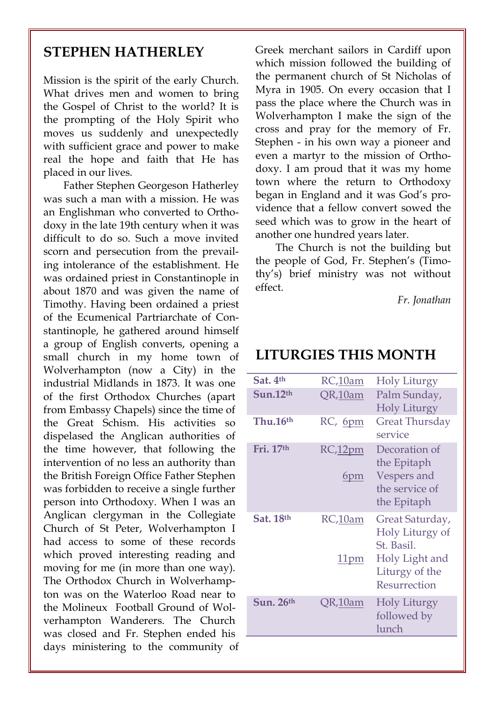#### STEPHEN HATHERLEY

Mission is the spirit of the early Church. What drives men and women to bring the Gospel of Christ to the world? It is the prompting of the Holy Spirit who moves us suddenly and unexpectedly with sufficient grace and power to make real the hope and faith that He has placed in our lives.

Father Stephen Georgeson Hatherley was such a man with a mission. He was an Englishman who converted to Orthodoxy in the late 19th century when it was difficult to do so. Such a move invited scorn and persecution from the prevailing intolerance of the establishment. He was ordained priest in Constantinople in about 1870 and was given the name of Timothy. Having been ordained a priest of the Ecumenical Partriarchate of Constantinople, he gathered around himself a group of English converts, opening a small church in my home town of Wolverhampton (now a City) in the industrial Midlands in 1873. It was one of the first Orthodox Churches (apart from Embassy Chapels) since the time of the Great Schism. His activities so dispelased the Anglican authorities of the time however, that following the intervention of no less an authority than the British Foreign Office Father Stephen was forbidden to receive a single further person into Orthodoxy. When I was an Anglican clergyman in the Collegiate Church of St Peter, Wolverhampton I had access to some of these records which proved interesting reading and moving for me (in more than one way). The Orthodox Church in Wolverhampton was on the Waterloo Road near to the Molineux Football Ground of Wolverhampton Wanderers. The Church was closed and Fr. Stephen ended his days ministering to the community of

Greek merchant sailors in Cardiff upon which mission followed the building of the permanent church of St Nicholas of Myra in 1905. On every occasion that I pass the place where the Church was in Wolverhampton I make the sign of the cross and pray for the memory of Fr. Stephen - in his own way a pioneer and even a martyr to the mission of Orthodoxy. I am proud that it was my home town where the return to Orthodoxy began in England and it was God's providence that a fellow convert sowed the seed which was to grow in the heart of another one hundred years later.

The Church is not the building but the people of God, Fr. Stephen's (Timothy's) brief ministry was not without effect.

Fr. Jonathan

#### LITURGIES THIS MONTH

| Sat. 4th             | RC,10am                | <b>Holy Liturgy</b>                                                                                  |
|----------------------|------------------------|------------------------------------------------------------------------------------------------------|
| Sun.12 <sup>th</sup> | QR,10am                | Palm Sunday,<br><b>Holy Liturgy</b>                                                                  |
| Thu.16 <sup>th</sup> | RC, 6pm                | Great Thursday<br>service                                                                            |
| Fri. 17th            | RC, 12pm<br>6pm        | Decoration of<br>the Epitaph<br>Vespers and<br>the service of<br>the Epitaph                         |
| Sat. 18th            | RC,10am<br><u>11pm</u> | Great Saturday,<br>Holy Liturgy of<br>St. Basil.<br>Holy Light and<br>Liturgy of the<br>Resurrection |
| Sun. $26th$          | QR,10am                | Holy Liturgy<br>followed by<br>lunch                                                                 |
|                      |                        |                                                                                                      |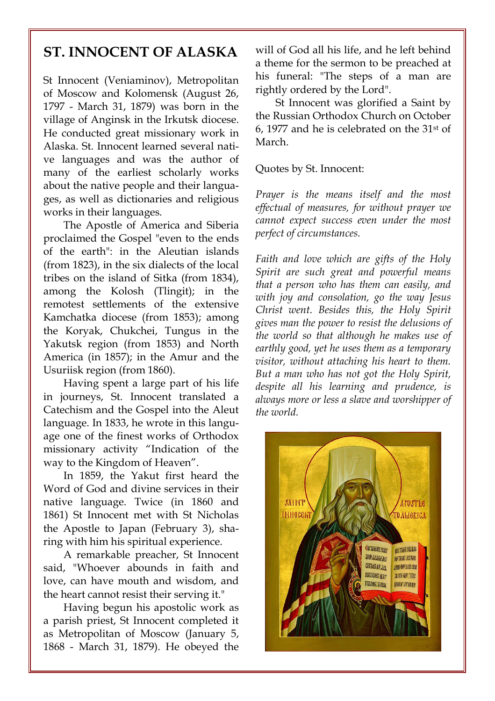#### ST. INNOCENT OF ALASKA

St Innocent (Veniaminov), Metropolitan of Moscow and Kolomensk (August 26, 1797 - March 31, 1879) was born in the village of Anginsk in the Irkutsk diocese. He conducted great missionary work in Alaska. St. Innocent learned several native languages and was the author of many of the earliest scholarly works about the native people and their languages, as well as dictionaries and religious works in their languages.

The Apostle of America and Siberia proclaimed the Gospel "even to the ends of the earth": in the Aleutian islands (from 1823), in the six dialects of the local tribes on the island of Sitka (from 1834), among the Kolosh (Tlingit); in the remotest settlements of the extensive Kamchatka diocese (from 1853); among the Koryak, Chukchei, Tungus in the Yakutsk region (from 1853) and North America (in 1857); in the Amur and the Usuriisk region (from 1860).

Having spent a large part of his life in journeys, St. Innocent translated a Catechism and the Gospel into the Aleut language. In 1833, he wrote in this language one of the finest works of Orthodox missionary activity "Indication of the way to the Kingdom of Heaven".

In 1859, the Yakut first heard the Word of God and divine services in their native language. Twice (in 1860 and 1861) St Innocent met with St Nicholas the Apostle to Japan (February 3), sharing with him his spiritual experience.

A remarkable preacher, St Innocent said, "Whoever abounds in faith and love, can have mouth and wisdom, and the heart cannot resist their serving it."

Having begun his apostolic work as a parish priest, St Innocent completed it as Metropolitan of Moscow (January 5, 1868 - March 31, 1879). He obeyed the will of God all his life, and he left behind a theme for the sermon to be preached at his funeral: "The steps of a man are rightly ordered by the Lord".

St Innocent was glorified a Saint by the Russian Orthodox Church on October 6, 1977 and he is celebrated on the 31st of March.

Quotes by St. Innocent:

Prayer is the means itself and the most effectual of measures, for without prayer we cannot expect success even under the most perfect of circumstances.

Faith and love which are gifts of the Holy Spirit are such great and powerful means that a person who has them can easily, and with joy and consolation, go the way Jesus Christ went. Besides this, the Holy Spirit gives man the power to resist the delusions of the world so that although he makes use of earthly good, yet he uses them as a temporary visitor, without attaching his heart to them. But a man who has not got the Holy Spirit, despite all his learning and prudence, is always more or less a slave and worshipper of the world.